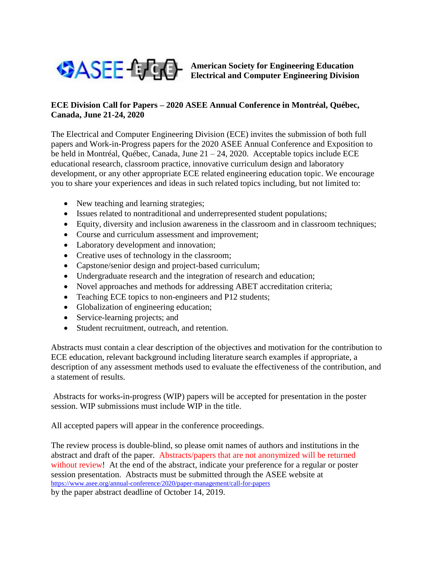

**American Society for Engineering Education Electrical and Computer Engineering Division**

## **ECE Division Call for Papers – 2020 ASEE Annual Conference in Montréal, Québec, Canada, June 21-24, 2020**

The Electrical and Computer Engineering Division (ECE) invites the submission of both full papers and Work-in-Progress papers for the 2020 ASEE Annual Conference and Exposition to be held in Montréal, Québec, Canada, June 21 – 24, 2020. Acceptable topics include ECE educational research, classroom practice, innovative curriculum design and laboratory development, or any other appropriate ECE related engineering education topic. We encourage you to share your experiences and ideas in such related topics including, but not limited to:

- New teaching and learning strategies;
- Issues related to nontraditional and underrepresented student populations;
- Equity, diversity and inclusion awareness in the classroom and in classroom techniques;
- Course and curriculum assessment and improvement;
- Laboratory development and innovation;
- Creative uses of technology in the classroom;
- Capstone/senior design and project-based curriculum;
- Undergraduate research and the integration of research and education;
- Novel approaches and methods for addressing ABET accreditation criteria;
- Teaching ECE topics to non-engineers and P12 students;
- Globalization of engineering education;
- Service-learning projects; and
- Student recruitment, outreach, and retention.

Abstracts must contain a clear description of the objectives and motivation for the contribution to ECE education, relevant background including literature search examples if appropriate, a description of any assessment methods used to evaluate the effectiveness of the contribution, and a statement of results.

Abstracts for works-in-progress (WIP) papers will be accepted for presentation in the poster session. WIP submissions must include WIP in the title.

All accepted papers will appear in the conference proceedings.

The review process is double-blind, so please omit names of authors and institutions in the abstract and draft of the paper. Abstracts/papers that are not anonymized will be returned without review! At the end of the abstract, indicate your preference for a regular or poster session presentation. Abstracts must be submitted through the ASEE website at <https://www.asee.org/annual-conference/2020/paper-management/call-for-papers>

by the paper abstract deadline of October 14, 2019.